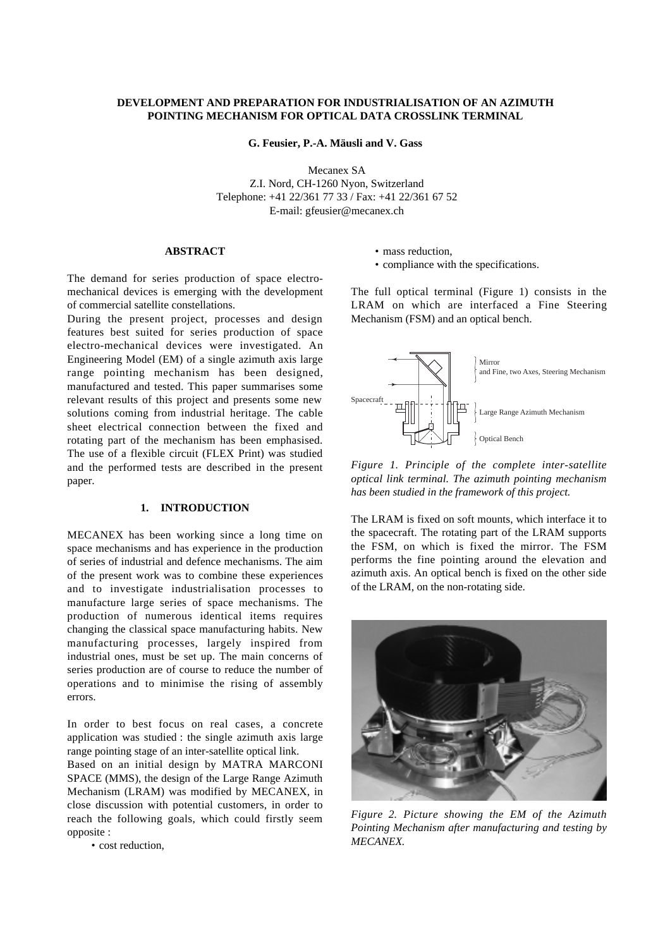# **DEVELOPMENT AND PREPARATION FOR INDUSTRIALISATION OF AN AZIMUTH POINTING MECHANISM FOR OPTICAL DATA CROSSLINK TERMINAL**

**G. Feusier, P.-A. Mäusli and V. Gass**

Mecanex SA Z.I. Nord, CH-1260 Nyon, Switzerland Telephone: +41 22/361 77 33 / Fax: +41 22/361 67 52 E-mail: gfeusier@mecanex.ch

# **ABSTRACT**

The demand for series production of space electromechanical devices is emerging with the development of commercial satellite constellations.

During the present project, processes and design features best suited for series production of space electro-mechanical devices were investigated. An Engineering Model (EM) of a single azimuth axis large range pointing mechanism has been designed, manufactured and tested. This paper summarises some relevant results of this project and presents some new solutions coming from industrial heritage. The cable sheet electrical connection between the fixed and rotating part of the mechanism has been emphasised. The use of a flexible circuit (FLEX Print) was studied and the performed tests are described in the present paper.

## **1. INTRODUCTION**

MECANEX has been working since a long time on space mechanisms and has experience in the production of series of industrial and defence mechanisms. The aim of the present work was to combine these experiences and to investigate industrialisation processes to manufacture large series of space mechanisms. The production of numerous identical items requires changing the classical space manufacturing habits. New manufacturing processes, largely inspired from industrial ones, must be set up. The main concerns of series production are of course to reduce the number of operations and to minimise the rising of assembly errors.

In order to best focus on real cases, a concrete application was studied : the single azimuth axis large range pointing stage of an inter-satellite optical link.

Based on an initial design by MATRA MARCONI SPACE (MMS), the design of the Large Range Azimuth Mechanism (LRAM) was modified by MECANEX, in close discussion with potential customers, in order to reach the following goals, which could firstly seem opposite :

• cost reduction,

- mass reduction,
- compliance with the specifications.

The full optical terminal (Figure 1) consists in the LRAM on which are interfaced a Fine Steering Mechanism (FSM) and an optical bench.



*Figure 1. Principle of the complete inter-satellite optical link terminal. The azimuth pointing mechanism has been studied in the framework of this project.*

The LRAM is fixed on soft mounts, which interface it to the spacecraft. The rotating part of the LRAM supports the FSM, on which is fixed the mirror. The FSM performs the fine pointing around the elevation and azimuth axis. An optical bench is fixed on the other side of the LRAM, on the non-rotating side.



*Figure 2. Picture showing the EM of the Azimuth Pointing Mechanism after manufacturing and testing by MECANEX.*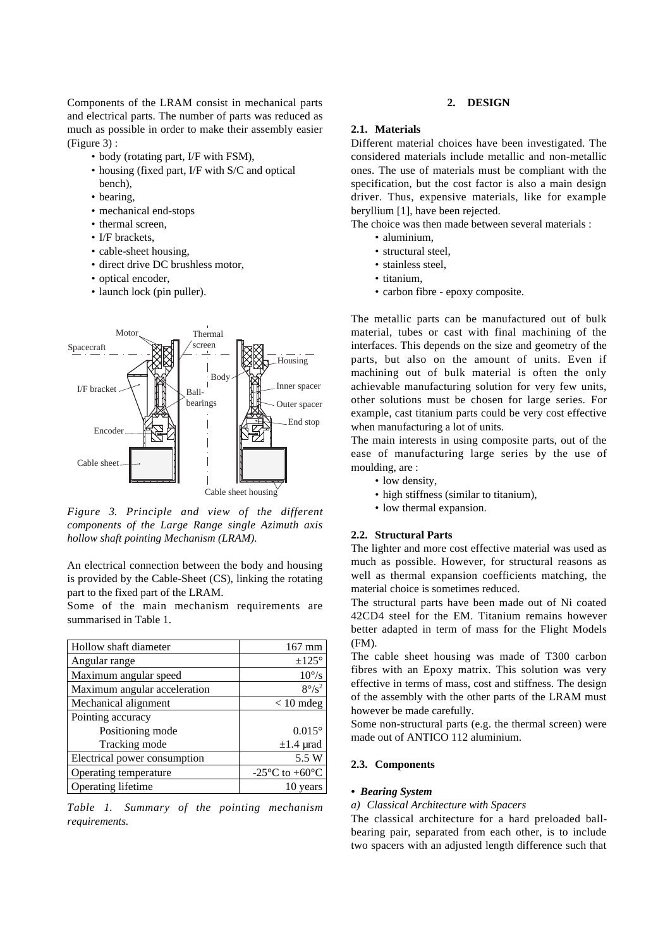Components of the LRAM consist in mechanical parts and electrical parts. The number of parts was reduced as much as possible in order to make their assembly easier (Figure 3) :

- body (rotating part, I/F with FSM),
- housing (fixed part, I/F with S/C and optical bench),
- bearing,
- mechanical end-stops
- thermal screen,
- I/F brackets.
- cable-sheet housing,
- direct drive DC brushless motor,
- optical encoder,
- launch lock (pin puller).



*Figure 3. Principle and view of the different components of the Large Range single Azimuth axis hollow shaft pointing Mechanism (LRAM).*

An electrical connection between the body and housing is provided by the Cable-Sheet (CS), linking the rotating part to the fixed part of the LRAM.

Some of the main mechanism requirements are summarised in Table 1.

| Hollow shaft diameter        | $167$ mm                                     |
|------------------------------|----------------------------------------------|
| Angular range                | $\pm 125^\circ$                              |
| Maximum angular speed        | $10^{\circ}/\mathrm{s}$                      |
| Maximum angular acceleration | $8^{\circ}/s^2$                              |
| Mechanical alignment         | $< 10$ mdeg                                  |
| Pointing accuracy            |                                              |
| Positioning mode             | $0.015^{\circ}$                              |
| Tracking mode                | $\pm 1.4$ µrad                               |
| Electrical power consumption | 5.5 W                                        |
| Operating temperature        | -25 $\rm{^{\circ}C}$ to +60 $\rm{^{\circ}C}$ |
| Operating lifetime           | 10 years                                     |

*Table 1. Summary of the pointing mechanism requirements.*

## **2. DESIGN**

## **2.1. Materials**

Different material choices have been investigated. The considered materials include metallic and non-metallic ones. The use of materials must be compliant with the specification, but the cost factor is also a main design driver. Thus, expensive materials, like for example beryllium [1], have been rejected.

The choice was then made between several materials :

- aluminium,
- structural steel,
- stainless steel,
- titanium,
- carbon fibre epoxy composite.

The metallic parts can be manufactured out of bulk material, tubes or cast with final machining of the interfaces. This depends on the size and geometry of the parts, but also on the amount of units. Even if machining out of bulk material is often the only achievable manufacturing solution for very few units, other solutions must be chosen for large series. For example, cast titanium parts could be very cost effective when manufacturing a lot of units.

The main interests in using composite parts, out of the ease of manufacturing large series by the use of moulding, are :

- low density,
- high stiffness (similar to titanium),
- low thermal expansion.

# **2.2. Structural Parts**

The lighter and more cost effective material was used as much as possible. However, for structural reasons as well as thermal expansion coefficients matching, the material choice is sometimes reduced.

The structural parts have been made out of Ni coated 42CD4 steel for the EM. Titanium remains however better adapted in term of mass for the Flight Models (FM).

The cable sheet housing was made of T300 carbon fibres with an Epoxy matrix. This solution was very effective in terms of mass, cost and stiffness. The design of the assembly with the other parts of the LRAM must however be made carefully.

Some non-structural parts (e.g. the thermal screen) were made out of ANTICO 112 aluminium.

## **2.3. Components**

## *• Bearing System*

### *a) Classical Architecture with Spacers*

The classical architecture for a hard preloaded ballbearing pair, separated from each other, is to include two spacers with an adjusted length difference such that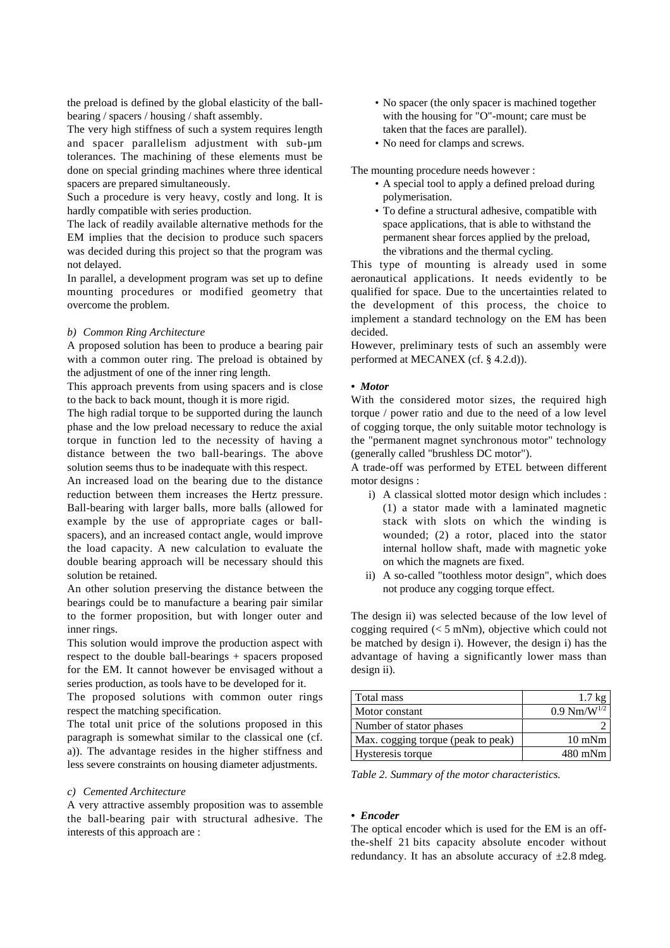the preload is defined by the global elasticity of the ballbearing / spacers / housing / shaft assembly.

The very high stiffness of such a system requires length and spacer parallelism adjustment with sub-µm tolerances. The machining of these elements must be done on special grinding machines where three identical spacers are prepared simultaneously.

Such a procedure is very heavy, costly and long. It is hardly compatible with series production.

The lack of readily available alternative methods for the EM implies that the decision to produce such spacers was decided during this project so that the program was not delayed.

In parallel, a development program was set up to define mounting procedures or modified geometry that overcome the problem.

## *b) Common Ring Architecture*

A proposed solution has been to produce a bearing pair with a common outer ring. The preload is obtained by the adjustment of one of the inner ring length.

This approach prevents from using spacers and is close to the back to back mount, though it is more rigid.

The high radial torque to be supported during the launch phase and the low preload necessary to reduce the axial torque in function led to the necessity of having a distance between the two ball-bearings. The above solution seems thus to be inadequate with this respect.

An increased load on the bearing due to the distance reduction between them increases the Hertz pressure. Ball-bearing with larger balls, more balls (allowed for example by the use of appropriate cages or ballspacers), and an increased contact angle, would improve the load capacity. A new calculation to evaluate the double bearing approach will be necessary should this solution be retained.

An other solution preserving the distance between the bearings could be to manufacture a bearing pair similar to the former proposition, but with longer outer and inner rings.

This solution would improve the production aspect with respect to the double ball-bearings + spacers proposed for the EM. It cannot however be envisaged without a series production, as tools have to be developed for it.

The proposed solutions with common outer rings respect the matching specification.

The total unit price of the solutions proposed in this paragraph is somewhat similar to the classical one (cf. a)). The advantage resides in the higher stiffness and less severe constraints on housing diameter adjustments.

#### *c) Cemented Architecture*

A very attractive assembly proposition was to assemble the ball-bearing pair with structural adhesive. The interests of this approach are :

- No spacer (the only spacer is machined together with the housing for "O"-mount; care must be taken that the faces are parallel).
- No need for clamps and screws.

The mounting procedure needs however :

- A special tool to apply a defined preload during polymerisation.
- To define a structural adhesive, compatible with space applications, that is able to withstand the permanent shear forces applied by the preload, the vibrations and the thermal cycling.

This type of mounting is already used in some aeronautical applications. It needs evidently to be qualified for space. Due to the uncertainties related to the development of this process, the choice to implement a standard technology on the EM has been decided.

However, preliminary tests of such an assembly were performed at MECANEX (cf. § 4.2.d)).

## *• Motor*

With the considered motor sizes, the required high torque / power ratio and due to the need of a low level of cogging torque, the only suitable motor technology is the "permanent magnet synchronous motor" technology (generally called "brushless DC motor").

A trade-off was performed by ETEL between different motor designs :

- i) A classical slotted motor design which includes : (1) a stator made with a laminated magnetic stack with slots on which the winding is wounded; (2) a rotor, placed into the stator internal hollow shaft, made with magnetic yoke on which the magnets are fixed.
- ii) A so-called "toothless motor design", which does not produce any cogging torque effect.

The design ii) was selected because of the low level of cogging required  $(< 5$  mNm), objective which could not be matched by design i). However, the design i) has the advantage of having a significantly lower mass than design ii).

| Total mass                         | $1.7 \text{ kg}$         |
|------------------------------------|--------------------------|
| Motor constant                     | $0.9 \text{ Nm/W}^{1/2}$ |
| Number of stator phases            |                          |
| Max. cogging torque (peak to peak) | $10 \text{ mNm}$         |
| Hysteresis torque                  | 480 mNm                  |

*Table 2. Summary of the motor characteristics.*

#### *• Encoder*

The optical encoder which is used for the EM is an offthe-shelf 21 bits capacity absolute encoder without redundancy. It has an absolute accuracy of  $\pm 2.8$  mdeg.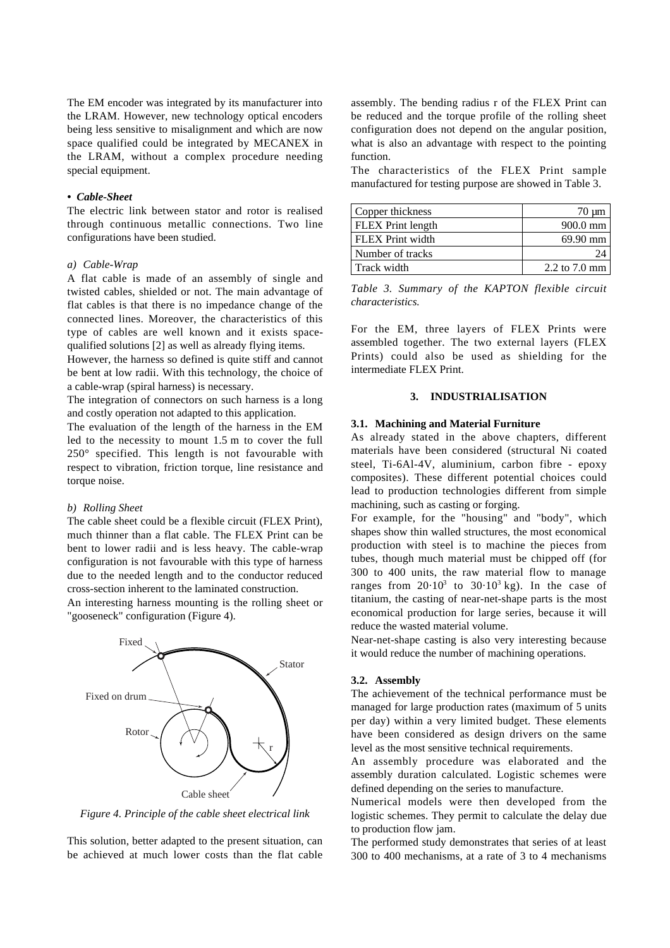The EM encoder was integrated by its manufacturer into the LRAM. However, new technology optical encoders being less sensitive to misalignment and which are now space qualified could be integrated by MECANEX in the LRAM, without a complex procedure needing special equipment.

# *• Cable-Sheet*

The electric link between stator and rotor is realised through continuous metallic connections. Two line configurations have been studied.

## *a) Cable-Wrap*

A flat cable is made of an assembly of single and twisted cables, shielded or not. The main advantage of flat cables is that there is no impedance change of the connected lines. Moreover, the characteristics of this type of cables are well known and it exists spacequalified solutions [2] as well as already flying items.

However, the harness so defined is quite stiff and cannot be bent at low radii. With this technology, the choice of a cable-wrap (spiral harness) is necessary.

The integration of connectors on such harness is a long and costly operation not adapted to this application.

The evaluation of the length of the harness in the EM led to the necessity to mount 1.5 m to cover the full 250° specified. This length is not favourable with respect to vibration, friction torque, line resistance and torque noise.

#### *b) Rolling Sheet*

The cable sheet could be a flexible circuit (FLEX Print), much thinner than a flat cable. The FLEX Print can be bent to lower radii and is less heavy. The cable-wrap configuration is not favourable with this type of harness due to the needed length and to the conductor reduced cross-section inherent to the laminated construction.

An interesting harness mounting is the rolling sheet or "gooseneck" configuration (Figure 4).



*Figure 4. Principle of the cable sheet electrical link*

This solution, better adapted to the present situation, can be achieved at much lower costs than the flat cable assembly. The bending radius r of the FLEX Print can be reduced and the torque profile of the rolling sheet configuration does not depend on the angular position, what is also an advantage with respect to the pointing function.

The characteristics of the FLEX Print sample manufactured for testing purpose are showed in Table 3.

| Copper thickness         | $70 \mu m$         |
|--------------------------|--------------------|
| <b>FLEX</b> Print length | $900.0 \text{ mm}$ |
| <b>FLEX</b> Print width  | 69.90 mm           |
| Number of tracks         |                    |
| Track width              | $2.2$ to $7.0$ mm  |

*Table 3. Summary of the KAPTON flexible circuit characteristics.*

For the EM, three layers of FLEX Prints were assembled together. The two external layers (FLEX Prints) could also be used as shielding for the intermediate FLEX Print.

## **3. INDUSTRIALISATION**

## **3.1. Machining and Material Furniture**

As already stated in the above chapters, different materials have been considered (structural Ni coated steel, Ti-6Al-4V, aluminium, carbon fibre - epoxy composites). These different potential choices could lead to production technologies different from simple machining, such as casting or forging.

For example, for the "housing" and "body", which shapes show thin walled structures, the most economical production with steel is to machine the pieces from tubes, though much material must be chipped off (for 300 to 400 units, the raw material flow to manage ranges from  $20.10^3$  to  $30.10^3$  kg). In the case of titanium, the casting of near-net-shape parts is the most economical production for large series, because it will reduce the wasted material volume.

Near-net-shape casting is also very interesting because it would reduce the number of machining operations.

#### **3.2. Assembly**

The achievement of the technical performance must be managed for large production rates (maximum of 5 units per day) within a very limited budget. These elements have been considered as design drivers on the same level as the most sensitive technical requirements.

An assembly procedure was elaborated and the assembly duration calculated. Logistic schemes were defined depending on the series to manufacture.

Numerical models were then developed from the logistic schemes. They permit to calculate the delay due to production flow jam.

The performed study demonstrates that series of at least 300 to 400 mechanisms, at a rate of 3 to 4 mechanisms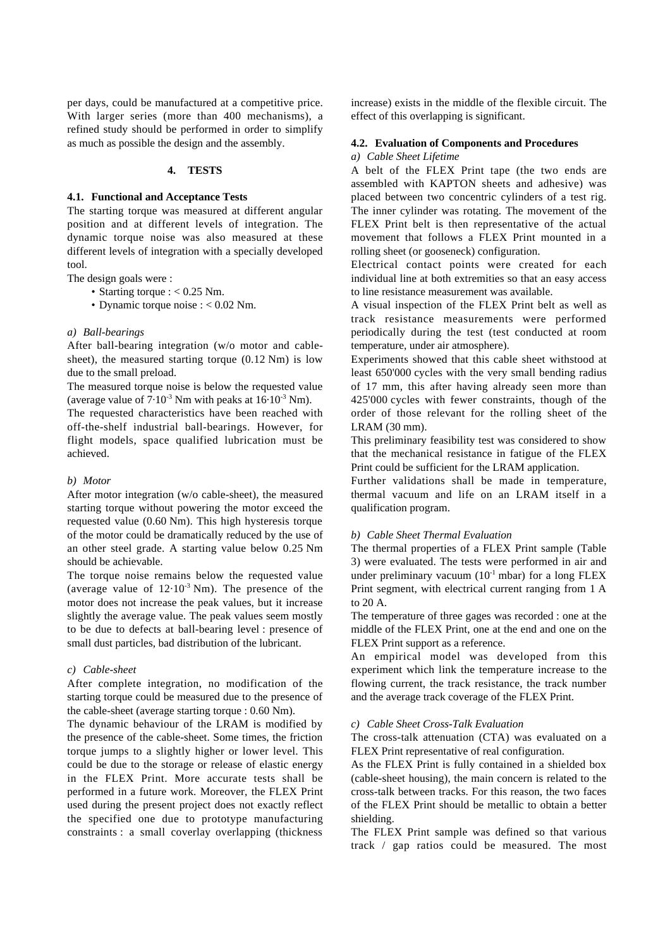per days, could be manufactured at a competitive price. With larger series (more than 400 mechanisms), a refined study should be performed in order to simplify as much as possible the design and the assembly.

## **4. TESTS**

#### **4.1. Functional and Acceptance Tests**

The starting torque was measured at different angular position and at different levels of integration. The dynamic torque noise was also measured at these different levels of integration with a specially developed tool.

The design goals were :

- Starting torque :  $< 0.25$  Nm.
- Dynamic torque noise : < 0.02 Nm.

### *a) Ball-bearings*

After ball-bearing integration (w/o motor and cablesheet), the measured starting torque (0.12 Nm) is low due to the small preload.

The measured torque noise is below the requested value (average value of  $7.10^{-3}$  Nm with peaks at  $16.10^{-3}$  Nm).

The requested characteristics have been reached with off-the-shelf industrial ball-bearings. However, for flight models, space qualified lubrication must be achieved.

## *b) Motor*

After motor integration (w/o cable-sheet), the measured starting torque without powering the motor exceed the requested value (0.60 Nm). This high hysteresis torque of the motor could be dramatically reduced by the use of an other steel grade. A starting value below 0.25 Nm should be achievable.

The torque noise remains below the requested value (average value of  $12.10^{-3}$  Nm). The presence of the motor does not increase the peak values, but it increase slightly the average value. The peak values seem mostly to be due to defects at ball-bearing level : presence of small dust particles, bad distribution of the lubricant.

# *c) Cable-sheet*

After complete integration, no modification of the starting torque could be measured due to the presence of the cable-sheet (average starting torque : 0.60 Nm).

The dynamic behaviour of the LRAM is modified by the presence of the cable-sheet. Some times, the friction torque jumps to a slightly higher or lower level. This could be due to the storage or release of elastic energy in the FLEX Print. More accurate tests shall be performed in a future work. Moreover, the FLEX Print used during the present project does not exactly reflect the specified one due to prototype manufacturing constraints : a small coverlay overlapping (thickness

increase) exists in the middle of the flexible circuit. The effect of this overlapping is significant.

# **4.2. Evaluation of Components and Procedures**

*a) Cable Sheet Lifetime*

A belt of the FLEX Print tape (the two ends are assembled with KAPTON sheets and adhesive) was placed between two concentric cylinders of a test rig. The inner cylinder was rotating. The movement of the FLEX Print belt is then representative of the actual movement that follows a FLEX Print mounted in a rolling sheet (or gooseneck) configuration.

Electrical contact points were created for each individual line at both extremities so that an easy access to line resistance measurement was available.

A visual inspection of the FLEX Print belt as well as track resistance measurements were performed periodically during the test (test conducted at room temperature, under air atmosphere).

Experiments showed that this cable sheet withstood at least 650'000 cycles with the very small bending radius of 17 mm, this after having already seen more than 425'000 cycles with fewer constraints, though of the order of those relevant for the rolling sheet of the LRAM (30 mm).

This preliminary feasibility test was considered to show that the mechanical resistance in fatigue of the FLEX Print could be sufficient for the LRAM application.

Further validations shall be made in temperature, thermal vacuum and life on an LRAM itself in a qualification program.

# *b) Cable Sheet Thermal Evaluation*

The thermal properties of a FLEX Print sample (Table 3) were evaluated. The tests were performed in air and under preliminary vacuum  $(10^{-1} \text{ mbar})$  for a long FLEX Print segment, with electrical current ranging from 1 A to 20 A.

The temperature of three gages was recorded : one at the middle of the FLEX Print, one at the end and one on the FLEX Print support as a reference.

An empirical model was developed from this experiment which link the temperature increase to the flowing current, the track resistance, the track number and the average track coverage of the FLEX Print.

## *c) Cable Sheet Cross-Talk Evaluation*

The cross-talk attenuation (CTA) was evaluated on a FLEX Print representative of real configuration.

As the FLEX Print is fully contained in a shielded box (cable-sheet housing), the main concern is related to the cross-talk between tracks. For this reason, the two faces of the FLEX Print should be metallic to obtain a better shielding.

The FLEX Print sample was defined so that various track / gap ratios could be measured. The most